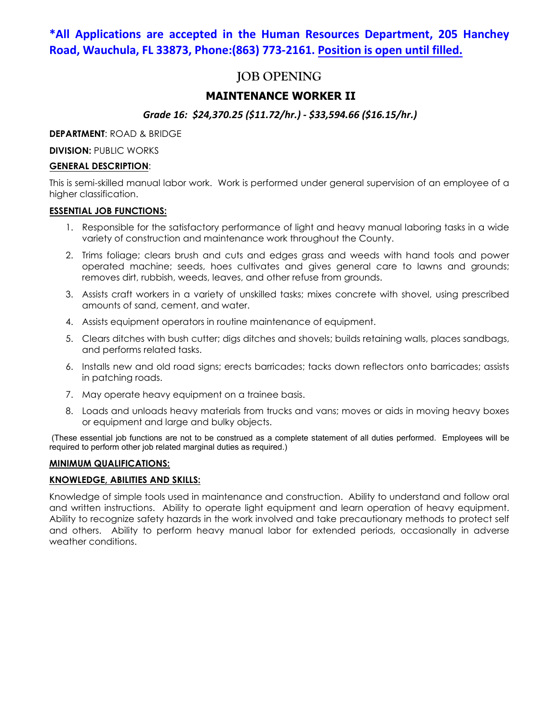## **\*All Applications are accepted in the Human Resources Department, 205 Hanchey Road, Wauchula, FL 33873, Phone:(863) 773-2161. Position is open until filled.**

# **JOB OPENING**

## **MAINTENANCE WORKER II**

## *Grade 16: \$24,370.25 (\$11.72/hr.) - \$33,594.66 (\$16.15/hr.)*

**DEPARTMENT**: ROAD & BRIDGE

**DIVISION: PUBLIC WORKS** 

## **GENERAL DESCRIPTION**:

This is semi-skilled manual labor work. Work is performed under general supervision of an employee of a higher classification.

## **ESSENTIAL JOB FUNCTIONS:**

- 1. Responsible for the satisfactory performance of light and heavy manual laboring tasks in a wide variety of construction and maintenance work throughout the County.
- 2. Trims foliage; clears brush and cuts and edges grass and weeds with hand tools and power operated machine; seeds, hoes cultivates and gives general care to lawns and grounds; removes dirt, rubbish, weeds, leaves, and other refuse from grounds.
- 3. Assists craft workers in a variety of unskilled tasks; mixes concrete with shovel, using prescribed amounts of sand, cement, and water.
- 4. Assists equipment operators in routine maintenance of equipment.
- 5. Clears ditches with bush cutter; digs ditches and shovels; builds retaining walls, places sandbags, and performs related tasks.
- 6. Installs new and old road signs; erects barricades; tacks down reflectors onto barricades; assists in patching roads.
- 7. May operate heavy equipment on a trainee basis.
- 8. Loads and unloads heavy materials from trucks and vans; moves or aids in moving heavy boxes or equipment and large and bulky objects.

(These essential job functions are not to be construed as a complete statement of all duties performed. Employees will be required to perform other job related marginal duties as required.)

## **MINIMUM QUALIFICATIONS:**

## **KNOWLEDGE, ABILITIES AND SKILLS:**

Knowledge of simple tools used in maintenance and construction. Ability to understand and follow oral and written instructions. Ability to operate light equipment and learn operation of heavy equipment. Ability to recognize safety hazards in the work involved and take precautionary methods to protect self and others. Ability to perform heavy manual labor for extended periods, occasionally in adverse weather conditions.